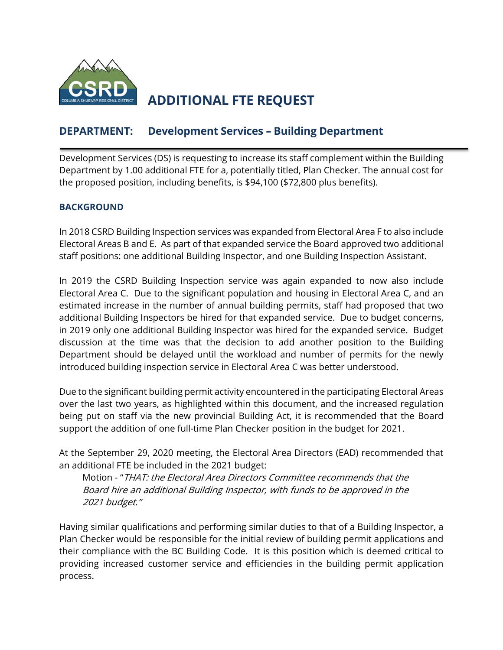

# **ADDITIONAL FTE REQUEST**

## **DEPARTMENT: Development Services – Building Department**

Development Services (DS) is requesting to increase its staff complement within the Building Department by 1.00 additional FTE for a, potentially titled, Plan Checker. The annual cost for the proposed position, including benefits, is \$94,100 (\$72,800 plus benefits).

### **BACKGROUND**

In 2018 CSRD Building Inspection services was expanded from Electoral Area F to also include Electoral Areas B and E. As part of that expanded service the Board approved two additional staff positions: one additional Building Inspector, and one Building Inspection Assistant.

In 2019 the CSRD Building Inspection service was again expanded to now also include Electoral Area C. Due to the significant population and housing in Electoral Area C, and an estimated increase in the number of annual building permits, staff had proposed that two additional Building Inspectors be hired for that expanded service. Due to budget concerns, in 2019 only one additional Building Inspector was hired for the expanded service. Budget discussion at the time was that the decision to add another position to the Building Department should be delayed until the workload and number of permits for the newly introduced building inspection service in Electoral Area C was better understood.

Due to the significant building permit activity encountered in the participating Electoral Areas over the last two years, as highlighted within this document, and the increased regulation being put on staff via the new provincial Building Act, it is recommended that the Board support the addition of one full-time Plan Checker position in the budget for 2021.

At the September 29, 2020 meeting, the Electoral Area Directors (EAD) recommended that an additional FTE be included in the 2021 budget:

Motion - "THAT: the Electoral Area Directors Committee recommends that the Board hire an additional Building Inspector, with funds to be approved in the 2021 budget."

Having similar qualifications and performing similar duties to that of a Building Inspector, a Plan Checker would be responsible for the initial review of building permit applications and their compliance with the BC Building Code. It is this position which is deemed critical to providing increased customer service and efficiencies in the building permit application process.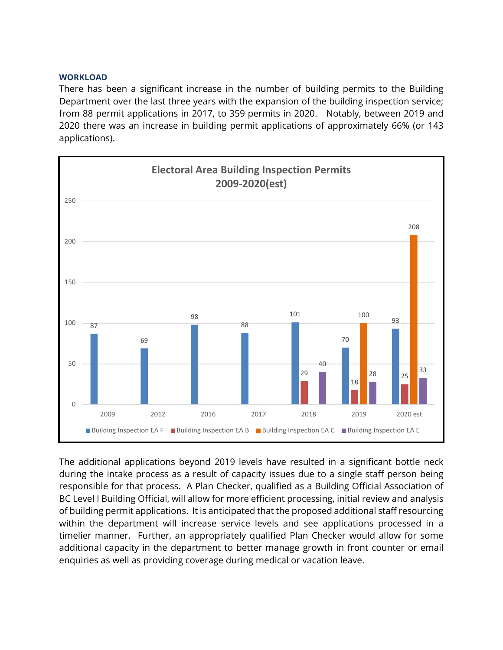#### **WORKLOAD**

There has been a significant increase in the number of building permits to the Building Department over the last three years with the expansion of the building inspection service; from 88 permit applications in 2017, to 359 permits in 2020. Notably, between 2019 and 2020 there was an increase in building permit applications of approximately 66% (or 143 applications).



The additional applications beyond 2019 levels have resulted in a significant bottle neck during the intake process as a result of capacity issues due to a single staff person being responsible for that process. A Plan Checker, qualified as a Building Official Association of BC Level I Building Official, will allow for more efficient processing, initial review and analysis of building permit applications. It is anticipated that the proposed additional staff resourcing within the department will increase service levels and see applications processed in a timelier manner. Further, an appropriately qualified Plan Checker would allow for some additional capacity in the department to better manage growth in front counter or email enquiries as well as providing coverage during medical or vacation leave.